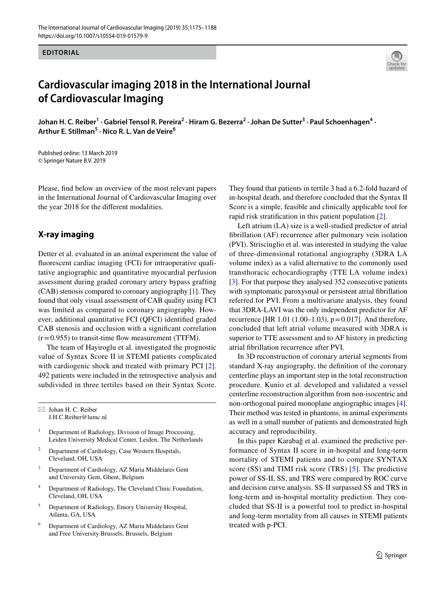**EDITORIAL**



# **Cardiovascular imaging 2018 in the International Journal of Cardiovascular Imaging**

Johan H. C. Reiber<sup>1</sup> · Gabriel Tensol R. Pereira<sup>2</sup> · Hiram G. Bezerra<sup>2</sup> · Johan De Sutter<sup>3</sup> · Paul Schoenhagen<sup>4</sup> · **Arthur E. Stillman5 · Nico R. L. Van de Veire6**

Published online: 13 March 2019 © Springer Nature B.V. 2019

Please, find below an overview of the most relevant papers in the International Journal of Cardiovascular Imaging over the year 2018 for the different modalities.

# **X‑ray imaging**

Detter et al. evaluated in an animal experiment the value of fluorescent cardiac imaging (FCI) for intraoperative qualitative angiographic and quantitative myocardial perfusion assessment during graded coronary artery bypass grafting (CAB) stenosis compared to coronary angiography [\[1](#page-10-0)]. They found that only visual assessment of CAB quality using FCI was limited as compared to coronary angiography. However, additional quantitative FCI (QFCI) identified graded CAB stenosis and occlusion with a significant correlation  $(r=0.955)$  to transit-time flow measurement (TTFM).

The team of Hayiroglu et al. investigated the prognostic value of Syntax Score II in STEMI patients complicated with cardiogenic shock and treated with primary PCI [[2](#page-10-1)]. 492 patients were included in the retrospective analysis and subdivided in three tertiles based on their Syntax Score.

 $\boxtimes$  Johan H. C. Reiber J.H.C.Reiber@lumc.nl

- <sup>1</sup> Department of Radiology, Division of Image Processing, Leiden University Medical Center, Leiden, The Netherlands
- <sup>2</sup> Department of Cardiology, Case Western Hospitals, Cleveland, OH, USA
- <sup>3</sup> Department of Cardiology, AZ Maria Middelares Gent and University Gent, Ghent, Belgium
- <sup>4</sup> Department of Radiology, The Cleveland Clinic Foundation, Cleveland, OH, USA
- <sup>5</sup> Department of Radiology, Emory University Hospital, Atlanta, GA, USA
- <sup>6</sup> Department of Cardiology, AZ Maria Middelares Gent and Free University Brussels, Brussels, Belgium

They found that patients in tertile 3 had a 6.2-fold hazard of in-hospital death, and therefore concluded that the Syntax II Score is a simple, feasible and clinically applicable tool for rapid risk stratification in this patient population [[2\]](#page-10-1).

Left atrium (LA) size is a well-studied predictor of atrial fibrillation (AF) recurrence after pulmonary vein isolation (PVI). Strisciuglio et al. was interested in studying the value of three-dimensional rotational angiography (3DRA LA volume index) as a valid alternative to the commonly used transthoracic echocardiography (TTE LA volume index) [\[3](#page-10-2)]. For that purpose they analysed 352 consecutive patients with symptomatic paroxysmal or persistent atrial fibrillation referred for PVI. From a multivariate analysis, they found that 3DRA-LAVI was the only independent predictor for AF recurrence [HR  $1.01 (1.00-1.03)$ ,  $p = 0.017$ ]. And therefore, concluded that left atrial volume measured with 3DRA is superior to TTE assessment and to AF history in predicting atrial fibrillation recurrence after PVI.

In 3D reconstruction of coronary arterial segments from standard X-ray angiography, the definition of the coronary centerline plays an important step in the total reconstruction procedure. Kunio et al. developed and validated a vessel centerline reconstruction algorithm from non-isocentric and non-orthogonal paired monoplane angiographic images [\[4](#page-10-3)]. Their method was tested in phantoms, in animal experiments as well in a small number of patients and demonstrated high accuracy and reproducibility.

In this paper Karabağ et al. examined the predictive performance of Syntax II score in in-hospital and long-term mortality of STEMI patients and to compare SYNTAX score (SS) and TIMI risk score (TRS) [\[5](#page-10-4)]. The predictive power of SS-II, SS, and TRS were compared by ROC curve and decision curve analysis. SS-II surpassed SS and TRS in long-term and in-hospital mortality prediction. They concluded that SS-II is a powerful tool to predict in-hospital and long-term mortality from all causes in STEMI patients treated with p-PCI.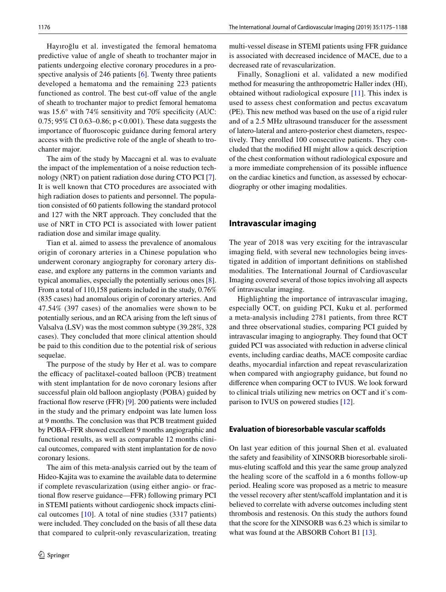Hayıroğlu et al. investigated the femoral hematoma predictive value of angle of sheath to trochanter major in patients undergoing elective coronary procedures in a pro-spective analysis of 246 patients [\[6](#page-10-5)]. Twenty three patients developed a hematoma and the remaining 223 patients functioned as control. The best cut-off value of the angle of sheath to trochanter major to predict femoral hematoma was 15.6° with 74% sensitivity and 70% specificity (AUC: 0.75;  $95\%$  CI 0.63–0.86;  $p < 0.001$ ). These data suggests the importance of fluoroscopic guidance during femoral artery access with the predictive role of the angle of sheath to trochanter major.

The aim of the study by Maccagni et al. was to evaluate the impact of the implementation of a noise reduction technology (NRT) on patient radiation dose during CTO PCI [\[7](#page-10-6)]. It is well known that CTO procedures are associated with high radiation doses to patients and personnel. The population consisted of 60 patients following the standard protocol and 127 with the NRT approach. They concluded that the use of NRT in CTO PCI is associated with lower patient radiation dose and similar image quality.

Tian et al. aimed to assess the prevalence of anomalous origin of coronary arteries in a Chinese population who underwent coronary angiography for coronary artery disease, and explore any patterns in the common variants and typical anomalies, especially the potentially serious ones [\[8](#page-10-7)]. From a total of 110,158 patients included in the study, 0.76% (835 cases) had anomalous origin of coronary arteries. And 47.54% (397 cases) of the anomalies were shown to be potentially serious, and an RCA arising from the left sinus of Valsalva (LSV) was the most common subtype (39.28%, 328 cases). They concluded that more clinical attention should be paid to this condition due to the potential risk of serious sequelae.

The purpose of the study by Her et al. was to compare the efficacy of paclitaxel-coated balloon (PCB) treatment with stent implantation for de novo coronary lesions after successful plain old balloon angioplasty (POBA) guided by fractional flow reserve (FFR) [\[9\]](#page-10-8). 200 patients were included in the study and the primary endpoint was late lumen loss at 9 months. The conclusion was that PCB treatment guided by POBA–FFR showed excellent 9 months angiographic and functional results, as well as comparable 12 months clinical outcomes, compared with stent implantation for de novo coronary lesions.

The aim of this meta-analysis carried out by the team of Hideo-Kajita was to examine the available data to determine if complete revascularization (using either angio- or fractional flow reserve guidance—FFR) following primary PCI in STEMI patients without cardiogenic shock impacts clinical outcomes [[10](#page-10-9)]. A total of nine studies (3317 patients) were included. They concluded on the basis of all these data that compared to culprit-only revascularization, treating multi-vessel disease in STEMI patients using FFR guidance is associated with decreased incidence of MACE, due to a decreased rate of revascularization.

Finally, Sonaglioni et al. validated a new modified method for measuring the anthropometric Haller index (HI), obtained without radiological exposure [\[11\]](#page-10-10). This index is used to assess chest conformation and pectus excavatum (PE). This new method was based on the use of a rigid ruler and of a 2.5 MHz ultrasound transducer for the assessment of latero-lateral and antero-posterior chest diameters, respectively. They enrolled 100 consecutive patients. They concluded that the modified HI might allow a quick description of the chest conformation without radiological exposure and a more immediate comprehension of its possible influence on the cardiac kinetics and function, as assessed by echocardiography or other imaging modalities.

### **Intravascular imaging**

The year of 2018 was very exciting for the intravascular imaging field, with several new technologies being investigated in addition of important definitions on stablished modalities. The International Journal of Cardiovascular Imaging covered several of those topics involving all aspects of intravascular imaging.

Highlighting the importance of intravascular imaging, especially OCT, on guiding PCI, Kuku et al. performed a meta-analysis including 2781 patients, from three RCT and three observational studies, comparing PCI guided by intravascular imaging to angiography. They found that OCT guided PCI was associated with reduction in adverse clinical events, including cardiac deaths, MACE composite cardiac deaths, myocardial infarction and repeat revascularization when compared with angiography guidance, but found no difference when comparing OCT to IVUS. We look forward to clinical trials utilizing new metrics on OCT and it`s comparison to IVUS on powered studies [[12](#page-10-11)].

#### **Evaluation of bioresorbable vascular scaffolds**

On last year edition of this journal Shen et al. evaluated the safety and feasibility of XINSORB bioresorbable sirolimus-eluting scaffold and this year the same group analyzed the healing score of the scaffold in a 6 months follow-up period. Healing score was proposed as a metric to measure the vessel recovery after stent/scaffold implantation and it is believed to correlate with adverse outcomes including stent thrombosis and restenosis. On this study the authors found that the score for the XINSORB was 6.23 which is similar to what was found at the ABSORB Cohort B1 [\[13\]](#page-11-0).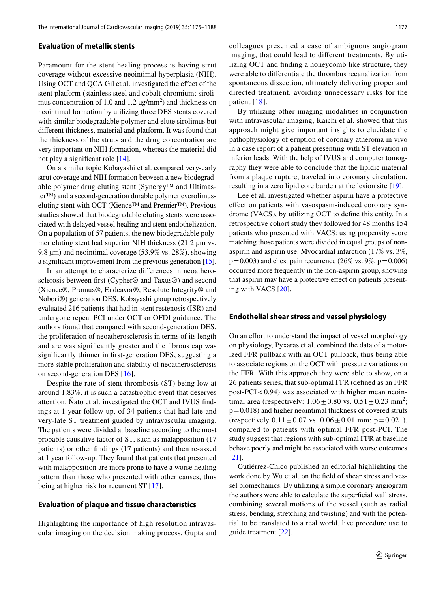#### **Evaluation of metallic stents**

Paramount for the stent healing process is having strut coverage without excessive neointimal hyperplasia (NIH). Using OCT and QCA Gil et al. investigated the effect of the stent platform (stainless steel and cobalt-chromium; sirolimus concentration of 1.0 and 1.2  $\mu$ g/mm<sup>2</sup>) and thickness on neointimal formation by utilizing three DES stents covered with similar biodegradable polymer and elute sirolimus but different thickness, material and platform. It was found that the thickness of the struts and the drug concentration are very important on NIH formation, whereas the material did not play a significant role [[14\]](#page-11-1).

On a similar topic Kobayashi et al. compared very-early strut coverage and NIH formation between a new biodegradable polymer drug eluting stent (Synergy™ and Ultimaster™) and a second-generation durable polymer everolimuseluting stent with OCT (Xience™ and Premier™). Previous studies showed that biodegradable eluting stents were associated with delayed vessel healing and stent endothelization. On a population of 57 patients, the new biodegradable polymer eluting stent had superior NIH thickness (21.2 µm vs. 9.8 µm) and neointimal coverage (53.9% vs. 28%), showing a significant improvement from the previous generation [\[15](#page-11-2)].

In an attempt to characterize differences in neoatherosclerosis between first (Cypher® and Taxus®) and second (Xience®, Promus®, Endeavor®, Resolute Integrity® and Nobori®) generation DES, Kobayashi group retrospectively evaluated 216 patients that had in-stent restenosis (ISR) and undergone repeat PCI under OCT or OFDI guidance. The authors found that compared with second-generation DES, the proliferation of neoatherosclerosis in terms of its length and arc was significantly greater and the fibrous cap was significantly thinner in first-generation DES, suggesting a more stable proliferation and stability of neoatherosclerosis on second-generation DES [[16\]](#page-11-3).

Despite the rate of stent thrombosis (ST) being low at around 1.83%, it is such a catastrophic event that deserves attention. Ñato et al. investigated the OCT and IVUS findings at 1 year follow-up, of 34 patients that had late and very-late ST treatment guided by intravascular imaging. The patients were divided at baseline according to the most probable causative factor of ST, such as malapposition (17 patients) or other findings (17 patients) and then re-assed at 1 year follow-up. They found that patients that presented with malapposition are more prone to have a worse healing pattern than those who presented with other causes, thus being at higher risk for recurrent ST [\[17](#page-11-4)].

#### **Evaluation of plaque and tissue characteristics**

Highlighting the importance of high resolution intravascular imaging on the decision making process, Gupta and colleagues presented a case of ambiguous angiogram imaging, that could lead to different treatments. By utilizing OCT and finding a honeycomb like structure, they were able to differentiate the thrombus recanalization from spontaneous dissection, ultimately delivering proper and directed treatment, avoiding unnecessary risks for the patient [[18](#page-11-5)].

By utilizing other imaging modalities in conjunction with intravascular imaging, Kaichi et al. showed that this approach might give important insights to elucidate the pathophysiology of eruption of coronary atheroma in vivo in a case report of a patient presenting with ST elevation in inferior leads. With the help of IVUS and computer tomography they were able to conclude that the lipidic material from a plaque rupture, traveled into coronary circulation, resulting in a zero lipid core burden at the lesion site [\[19\]](#page-11-6).

Lee et al. investigated whether aspirin have a protective effect on patients with vasospasm-induced coronary syndrome (VACS), by utilizing OCT to define this entity. In a retrospective cohort study they followed for 48 months 154 patients who presented with VACS: using propensity score matching those patients were divided in equal groups of nonaspirin and aspirin use. Myocardial infarction (17% vs. 3%,  $p=0.003$ ) and chest pain recurrence (26% vs. 9%,  $p=0.006$ ) occurred more frequently in the non-aspirin group, showing that aspirin may have a protective effect on patients presenting with VACS [[20\]](#page-11-7).

#### **Endothelial shear stress and vessel physiology**

On an effort to understand the impact of vessel morphology on physiology, Pyxaras et al. combined the data of a motorized FFR pullback with an OCT pullback, thus being able to associate regions on the OCT with pressure variations on the FFR. With this approach they were able to show, on a 26 patients series, that sub-optimal FFR (defined as an FFR post-PCI $< 0.94$ ) was associated with higher mean neointimal area (respectively:  $1.06 \pm 0.80$  vs.  $0.51 \pm 0.23$  mm<sup>2</sup>;  $p=0.018$ ) and higher neointimal thickness of covered struts (respectively  $0.11 \pm 0.07$  vs.  $0.06 \pm 0.01$  mm;  $p = 0.021$ ), compared to patients with optimal FFR post-PCI. The study suggest that regions with sub-optimal FFR at baseline behave poorly and might be associated with worse outcomes [[21\]](#page-11-8).

Gutiérrez-Chico published an editorial highlighting the work done by Wu et al. on the field of shear stress and vessel biomechanics. By utilizing a simple coronary angiogram the authors were able to calculate the superficial wall stress, combining several motions of the vessel (such as radial stress, bending, stretching and twisting) and with the potential to be translated to a real world, live procedure use to guide treatment [[22](#page-11-9)].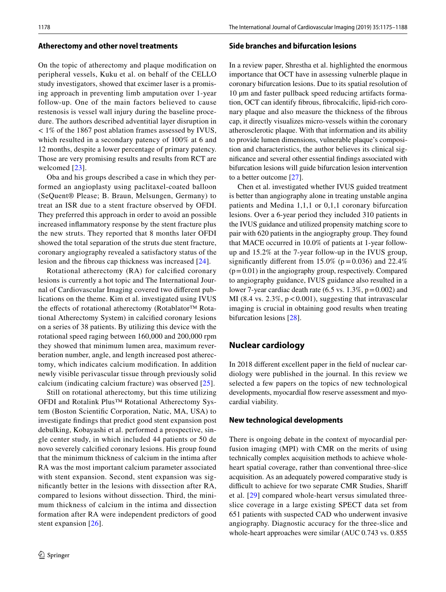#### **Atherectomy and other novel treatments**

On the topic of atherectomy and plaque modification on peripheral vessels, Kuku et al. on behalf of the CELLO study investigators, showed that excimer laser is a promising approach in preventing limb amputation over 1-year follow-up. One of the main factors believed to cause restenosis is vessel wall injury during the baseline procedure. The authors described adventitial layer disruption in < 1% of the 1867 post ablation frames assessed by IVUS, which resulted in a secondary patency of 100% at 6 and 12 months, despite a lower percentage of primary patency. Those are very promising results and results from RCT are welcomed [[23\]](#page-11-10).

Oba and his groups described a case in which they performed an angioplasty using paclitaxel-coated balloon (SeQuent® Please; B. Braun, Melsungen, Germany) to treat an ISR due to a stent fracture observed by OFDI. They preferred this approach in order to avoid an possible increased inflammatory response by the stent fracture plus the new struts. They reported that 8 months later OFDI showed the total separation of the struts due stent fracture, coronary angiography revealed a satisfactory status of the lesion and the fibrous cap thickness was increased [\[24\]](#page-11-11).

Rotational atherectomy (RA) for calcified coronary lesions is currently a hot topic and The International Journal of Cardiovascular Imaging covered two different publications on the theme. Kim et al. investigated using IVUS the effects of rotational atherectomy (Rotablator™ Rotational Atherectomy System) in calcified coronary lesions on a series of 38 patients. By utilizing this device with the rotational speed raging between 160,000 and 200,000 rpm they showed that minimum lumen area, maximum reverberation number, angle, and length increased post atherectomy, which indicates calcium modification. In addition newly visible perivascular tissue through previously solid calcium (indicating calcium fracture) was observed [[25](#page-11-12)].

Still on rotational atherectomy, but this time utilizing OFDI and Rotalink Plus™ Rotational Atherectomy System (Boston Scientific Corporation, Natic, MA, USA) to investigate findings that predict good stent expansion post debulking, Kobayashi et al. performed a prospective, single center study, in which included 44 patients or 50 de novo severely calcified coronary lesions. His group found that the minimum thickness of calcium in the intima after RA was the most important calcium parameter associated with stent expansion. Second, stent expansion was significantly better in the lesions with dissection after RA, compared to lesions without dissection. Third, the minimum thickness of calcium in the intima and dissection formation after RA were independent predictors of good stent expansion [\[26\]](#page-11-13).

#### **Side branches and bifurcation lesions**

In a review paper, Shrestha et al. highlighted the enormous importance that OCT have in assessing vulnerble plaque in coronary bifurcation lesions. Due to its spatial resolution of 10 µm and faster pullback speed reducing artifacts formation, OCT can identify fibrous, fibrocalcific, lipid-rich coronary plaque and also measure the thickness of the fibrous cap, it directly visualizes micro-vessels within the coronary atherosclerotic plaque. With that information and its ability to provide lumen dimensions, vulnerable plaque's composition and characteristics, the author believes its clinical significance and several other essential findings associated with bifurcation lesions will guide bifurcation lesion intervention to a better outcome [\[27](#page-11-14)].

Chen et al. investigated whether IVUS guided treatment is better than angiography alone in treating unstable angina patients and Medina 1,1,1 or 0,1,1 coronary bifurcation lesions. Over a 6-year period they included 310 patients in the IVUS guidance and utilized propensity matching score to pair with 620 patients in the angiography group. They found that MACE occurred in 10.0% of patients at 1-year followup and 15.2% at the 7-year follow-up in the IVUS group, significantly different from 15.0% ( $p=0.036$ ) and 22.4%  $(p=0.01)$  in the angiography group, respectively. Compared to angiography guidance, IVUS guidance also resulted in a lower 7-year cardiac death rate  $(6.5 \text{ vs. } 1.3\%, \text{ p} = 0.002)$  and MI (8.4 vs.  $2.3\%$ ,  $p < 0.001$ ), suggesting that intravascular imaging is crucial in obtaining good results when treating bifurcation lesions [[28](#page-11-15)].

# **Nuclear cardiology**

In 2018 different excellent paper in the field of nuclear cardiology were published in the journal. In this review we selected a few papers on the topics of new technological developments, myocardial flow reserve assessment and myocardial viability.

#### **New technological developments**

There is ongoing debate in the context of myocardial perfusion imaging (MPI) with CMR on the merits of using technically complex acquisition methods to achieve wholeheart spatial coverage, rather than conventional three-slice acquisition. As an adequately powered comparative study is difficult to achieve for two separate CMR Studies, Shariff et al. [[29\]](#page-11-16) compared whole-heart versus simulated threeslice coverage in a large existing SPECT data set from 651 patients with suspected CAD who underwent invasive angiography. Diagnostic accuracy for the three-slice and whole-heart approaches were similar (AUC 0.743 vs. 0.855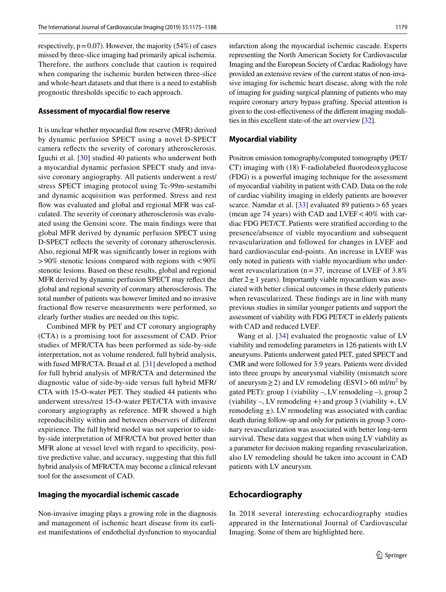respectively,  $p=0.07$ ). However, the majority (54%) of cases missed by three-slice imaging had primarily apical ischemia. Therefore, the authors conclude that caution is required when comparing the ischemic burden between three-slice and whole-heart datasets and that there is a need to establish prognostic thresholds specific to each approach.

#### **Assessment of myocardial flow reserve**

It is unclear whether myocardial flow reserve (MFR) derived by dynamic perfusion SPECT using a novel D-SPECT camera reflects the severity of coronary atherosclerosis. Iguchi et al. [[30](#page-11-17)] studied 40 patients who underwent both a myocardial dynamic perfusion SPECT study and invasive coronary angiography. All patients underwent a rest/ stress SPECT imaging protocol using Tc-99m-sestamibi and dynamic acquisition was performed. Stress and rest flow was evaluated and global and regional MFR was calculated. The severity of coronary atherosclerosis was evaluated using the Gensini score. The main findings were that global MFR derived by dynamic perfusion SPECT using D-SPECT reflects the severity of coronary atherosclerosis. Also, regional MFR was significantly lower in regions with >90% stenotic lesions compared with regions with <90% stenotic lesions. Based on these results, global and regional MFR derived by dynamic perfusion SPECT may reflect the global and regional severity of coronary atherosclerosis. The total number of patients was however limited and no invasive fractional flow reserve measurements were performed, so clearly further studies are needed on this topic.

Combined MFR by PET and CT coronary angiography (CTA) is a promising toot for assessment of CAD. Prior studies of MFR/CTA has been performed as side-by-side interpretation, not as volume rendered, full hybrid analysis, with fused MFR/CTA. Braad et al. [[31\]](#page-11-18) developed a method for full hybrid analysis of MFR/CTA and determined the diagnostic value of side-by-side versus full hybrid MFR/ CTA with 15-O-water PET. They studied 44 patients who underwent stress/rest 15-O-water PET/CTA with invasive coronary angiography as reference. MFR showed a high reproducibility within and between observers of different expirience. The full hybrid model was not superior to sideby-side interpretation of MFR/CTA but proved better than MFR alone at vessel level with regard to specificity, positive predictive value, and accuracy, suggesting that this full hybrid analysis of MFR/CTA may become a clinical relevant tool for the assessment of CAD.

#### **Imaging the myocardial ischemic cascade**

Non-invasive imaging plays a growing role in the diagnosis and management of ischemic heart disease from its earliest manifestations of endothelial dysfunction to myocardial infarction along the myocardial ischemic cascade. Experts representing the North American Society for Cardiovascular Imaging and the European Society of Cardiac Radiology have provided an extensive review of the current status of non-invasive imaging for ischemic heart disease, along with the role of imaging for guiding surgical planning of patients who may require coronary artery bypass grafting. Special attention is given to the cost-effectiveness of the different imaging modalities in this excellent state-of-the art overview [[32](#page-11-19)].

#### **Myocardial viability**

Positron emission tomography/computed tomography (PET/ CT) imaging with (18) F-radiolabeled fluorodeoxyglucose (FDG) is a powerful imaging technique for the assessment of myocardial viability in patient with CAD. Data on the role of cardiac viability imaging in elderly patients are however scarce. Namdar et al.  $\left[33\right]$  $\left[33\right]$  $\left[33\right]$  evaluated 89 patients > 65 years (mean age 74 years) with CAD and LVEF  $<$  40% with cardiac FDG PET/CT. Patients were stratified according to the presence/absence of viable myocardium and subsequent revascularization and followed for changes in LVEF and hard cardiovascular end-points. An increase in LVEF was only noted in patients with viable myocardium who underwent revascularization ( $n=37$ , increase of LVEF of 3.8%) after  $2 \pm 1$  years). Importantly viable myocardium was associated with better clinical outcomes in these elderly patients when revascularized. These findings are in line with many previous studies in similar younger patients and support the assessment of viability with FDG PET/CT in elderly patients with CAD and reduced LVEF.

Wang et al. [[34](#page-11-21)] evaluated the prognostic value of LV viability and remodeling parameters in 126 patients with LV aneurysms. Patients underwent gated PET, gated SPECT and CMR and were followed for 3.9 years. Patients were divided into three groups by aneurysmal viability (mismatch score of aneurysm  $\geq$  2) and LV remodeling (ESVI > 60 ml/m<sup>2</sup> by gated PET): group 1 (viability –, LV remodeling –), group 2 (viability –, LV remodeling +) and group 3 (viability +, LV remodeling  $\pm$ ). LV remodeling was associated with cardiac death during follow-up and only for patients in group 3 coronary revascularization was associated with better long-term survival. These data suggest that when using LV viability as a parameter for decision making regarding revascularization, also LV remodeling should be taken into account in CAD patients with LV aneurysm.

# **Echocardiography**

In 2018 several interesting echocardiography studies appeared in the International Journal of Cardiovascular Imaging. Some of them are highlighted here.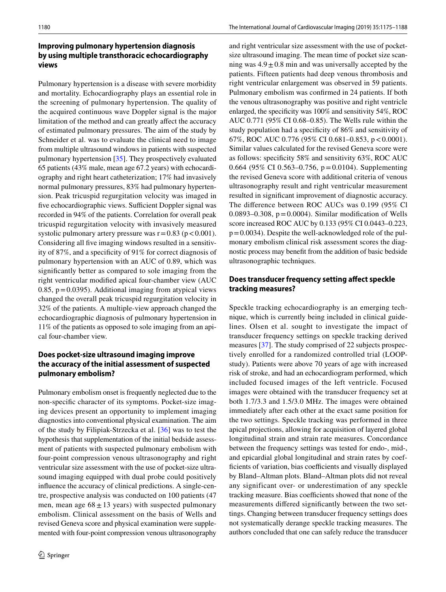# **Improving pulmonary hypertension diagnosis by using multiple transthoracic echocardiography views**

Pulmonary hypertension is a disease with severe morbidity and mortality. Echocardiography plays an essential role in the screening of pulmonary hypertension. The quality of the acquired continuous wave Doppler signal is the major limitation of the method and can greatly affect the accuracy of estimated pulmonary pressures. The aim of the study by Schneider et al. was to evaluate the clinical need to image from multiple ultrasound windows in patients with suspected pulmonary hypertension [\[35](#page-11-22)]. They prospectively evaluated 65 patients (43% male, mean age 67.2 years) with echocardiography and right heart catheterization; 17% had invasively normal pulmonary pressures, 83% had pulmonary hypertension. Peak tricuspid regurgitation velocity was imaged in five echocardiographic views. Sufficient Doppler signal was recorded in 94% of the patients. Correlation for overall peak tricuspid regurgitation velocity with invasively measured systolic pulmonary artery pressure was  $r = 0.83$  ( $p < 0.001$ ). Considering all five imaging windows resulted in a sensitivity of 87%, and a specificity of 91% for correct diagnosis of pulmonary hypertension with an AUC of 0.89, which was significantly better as compared to sole imaging from the right ventricular modified apical four-chamber view (AUC 0.85,  $p=0.0395$ ). Additional imaging from atypical views changed the overall peak tricuspid regurgitation velocity in 32% of the patients. A multiple-view approach changed the echocardiographic diagnosis of pulmonary hypertension in 11% of the patients as opposed to sole imaging from an apical four-chamber view.

# **Does pocket‑size ultrasound imaging improve the accuracy of the initial assessment of suspected pulmonary embolism?**

Pulmonary embolism onset is frequently neglected due to the non-specific character of its symptoms. Pocket-size imaging devices present an opportunity to implement imaging diagnostics into conventional physical examination. The aim of the study by Filipiak-Strzecka et al. [\[36](#page-11-23)] was to test the hypothesis that supplementation of the initial bedside assessment of patients with suspected pulmonary embolism with four-point compression venous ultrasonography and right ventricular size assessment with the use of pocket-size ultrasound imaging equipped with dual probe could positively influence the accuracy of clinical predictions. A single-centre, prospective analysis was conducted on 100 patients (47 men, mean age  $68 \pm 13$  years) with suspected pulmonary embolism. Clinical assessment on the basis of Wells and revised Geneva score and physical examination were supplemented with four-point compression venous ultrasonography and right ventricular size assessment with the use of pocketsize ultrasound imaging. The mean time of pocket size scanning was  $4.9 \pm 0.8$  min and was universally accepted by the patients. Fifteen patients had deep venous thrombosis and right ventricular enlargement was observed in 59 patients. Pulmonary embolism was confirmed in 24 patients. If both the venous ultrasonography was positive and right ventricle enlarged, the specificity was 100% and sensitivity 54%, ROC AUC 0.771 (95% CI 0.68–0.85). The Wells rule within the study population had a specificity of 86% and sensitivity of 67%, ROC AUC 0.776 (95% CI 0.681–0.853,  $p < 0.0001$ ). Similar values calculated for the revised Geneva score were as follows: specificity 58% and sensitivity 63%, ROC AUC 0.664 (95% CI 0.563–0.756,  $p = 0.0104$ ). Supplementing the revised Geneva score with additional criteria of venous ultrasonography result and right ventricular measurement resulted in significant improvement of diagnostic accuracy. The difference between ROC AUCs was 0.199 (95% Cl 0.0893–0.308,  $p = 0.0004$ ). Similar modification of Wells score increased ROC AUC by 0.133 (95% CI 0.0443–0.223, p=0.0034). Despite the well-acknowledged role of the pulmonary embolism clinical risk assessment scores the diagnostic process may benefit from the addition of basic bedside ultrasonographic techniques.

### **Does transducer frequency setting affect speckle tracking measures?**

Speckle tracking echocardiography is an emerging technique, which is currently being included in clinical guidelines. Olsen et al. sought to investigate the impact of transducer frequency settings on speckle tracking derived measures [[37\]](#page-11-24). The study comprised of 22 subjects prospectively enrolled for a randomized controlled trial (LOOPstudy). Patients were above 70 years of age with increased risk of stroke, and had an echocardiogram performed, which included focused images of the left ventricle. Focused images were obtained with the transducer frequency set at both 1.7/3.3 and 1.5/3.0 MHz. The images were obtained immediately after each other at the exact same position for the two settings. Speckle tracking was performed in three apical projections, allowing for acquisition of layered global longitudinal strain and strain rate measures. Concordance between the frequency settings was tested for endo-, mid-, and epicardial global longitudinal and strain rates by coefficients of variation, bias coefficients and visually displayed by Bland–Altman plots. Bland–Altman plots did not reveal any significant over- or underestimation of any speckle tracking measure. Bias coefficients showed that none of the measurements differed significantly between the two settings. Changing between transducer frequency settings does not systematically derange speckle tracking measures. The authors concluded that one can safely reduce the transducer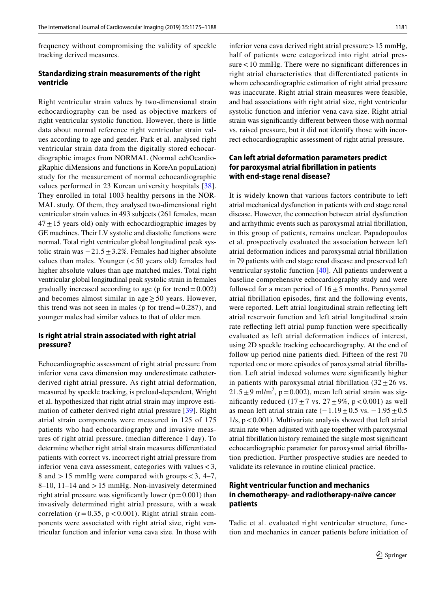frequency without compromising the validity of speckle tracking derived measures.

### **Standardizing strain measurements of the right ventricle**

Right ventricular strain values by two-dimensional strain echocardiography can be used as objective markers of right ventricular systolic function. However, there is little data about normal reference right ventricular strain values according to age and gender. Park et al. analysed right ventricular strain data from the digitally stored echocardiographic images from NORMAL (Normal echOcardiogRaphic diMensions and functions in KoreAn popuLation) study for the measurement of normal echocardiographic values performed in 23 Korean university hospitals [[38](#page-11-25)]. They enrolled in total 1003 healthy persons in the NOR-MAL study. Of them, they analysed two-dimensional right ventricular strain values in 493 subjects (261 females, mean  $47 \pm 15$  years old) only with echocardiographic images by GE machines. Their LV systolic and diastolic functions were normal. Total right ventricular global longitudinal peak systolic strain was  $-21.5 \pm 3.2\%$ . Females had higher absolute values than males. Younger  $(<50$  years old) females had higher absolute values than age matched males. Total right ventricular global longitudinal peak systolic strain in females gradually increased according to age ( $p$  for trend=0.002) and becomes almost similar in age  $\geq$  50 years. However, this trend was not seen in males ( $p$  for trend=0.287), and younger males had similar values to that of older men.

#### **Is right atrial strain associated with right atrial pressure?**

Echocardiographic assessment of right atrial pressure from inferior vena cava dimension may underestimate catheterderived right atrial pressure. As right atrial deformation, measured by speckle tracking, is preload-dependent, Wright et al. hypothesized that right atrial strain may improve estimation of catheter derived right atrial pressure [[39](#page-11-26)]. Right atrial strain components were measured in 125 of 175 patients who had echocardiography and invasive measures of right atrial pressure. (median difference 1 day). To determine whether right atrial strain measures differentiated patients with correct vs. incorrect right atrial pressure from inferior vena cava assessment, categories with values  $<3$ , 8 and  $>15$  mmHg were compared with groups  $<$  3, 4–7, 8–10, 11–14 and  $>$  15 mmHg. Non-invasively determined right atrial pressure was significantly lower ( $p=0.001$ ) than invasively determined right atrial pressure, with a weak correlation ( $r = 0.35$ ,  $p < 0.001$ ). Right atrial strain components were associated with right atrial size, right ventricular function and inferior vena cava size. In those with inferior vena cava derived right atrial pressure > 15 mmHg, half of patients were categorized into right atrial pres $sure < 10$  mmHg. There were no significant differences in right atrial characteristics that differentiated patients in whom echocardiographic estimation of right atrial pressure was inaccurate. Right atrial strain measures were feasible, and had associations with right atrial size, right ventricular systolic function and inferior vena cava size. Right atrial strain was significantly different between those with normal vs. raised pressure, but it did not identify those with incorrect echocardiographic assessment of right atrial pressure.

# **Can left atrial deformation parameters predict for paroxysmal atrial fibrillation in patients with end‑stage renal disease?**

It is widely known that various factors contribute to left atrial mechanical dysfunction in patients with end stage renal disease. However, the connection between atrial dysfunction and arrhythmic events such as paroxysmal atrial fibrillation, in this group of patients, remains unclear. Papadopoulos et al. prospectively evaluated the association between left atrial deformation indices and paroxysmal atrial fibrillation in 79 patients with end stage renal disease and preserved left ventricular systolic function [[40](#page-11-27)]. All patients underwent a baseline comprehensive echocardiography study and were followed for a mean period of  $16±5$  months. Paroxysmal atrial fibrillation episodes, first and the following events, were reported. Left atrial longitudinal strain reflecting left atrial reservoir function and left atrial longitudinal strain rate reflecting left atrial pump function were specifically evaluated as left atrial deformation indices of interest, using 2D speckle tracking echocardiography. At the end of follow up period nine patients died. Fifteen of the rest 70 reported one or more episodes of paroxysmal atrial fibrillation. Left atrial indexed volumes were significantly higher in patients with paroxysmal atrial fibrillation  $(32 \pm 26 \text{ vs.})$  $21.5 \pm 9$  ml/m<sup>2</sup>, p=0.002), mean left atrial strain was significantly reduced  $(17 \pm 7 \text{ vs. } 27 \pm 9\%, \text{ p} < 0.001)$  as well as mean left atrial strain rate  $(-1.19 \pm 0.5 \text{ vs. } -1.95 \pm 0.5 \text{ s})$  $1/s$ ,  $p < 0.001$ ). Multivariate analysis showed that left atrial strain rate when adjusted with age together with paroxysmal atrial fibrillation history remained the single most significant echocardiographic parameter for paroxysmal atrial fibrillation prediction. Further prospective studies are needed to validate its relevance in routine clinical practice.

# **Right ventricular function and mechanics in chemotherapy‑ and radiotherapy‑naïve cancer patients**

Tadic et al. evaluated right ventricular structure, function and mechanics in cancer patients before initiation of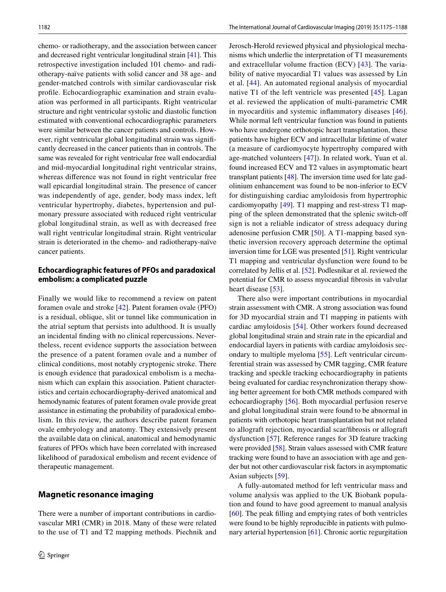chemo- or radiotherapy, and the association between cancer and decreased right ventricular longitudinal strain [\[41](#page-11-28)]. This retrospective investigation included 101 chemo- and radiotherapy-naïve patients with solid cancer and 38 age- and gender-matched controls with similar cardiovascular risk profile. Echocardiographic examination and strain evaluation was performed in all participants. Right ventricular structure and right ventricular systolic and diastolic function estimated with conventional echocardiographic parameters were similar between the cancer patients and controls. However, right ventricular global longitudinal strain was significantly decreased in the cancer patients than in controls. The same was revealed for right ventricular free wall endocardial and mid-myocardial longitudinal right ventricular strains, whereas difference was not found in right ventricular free wall epicardial longitudinal strain. The presence of cancer was independently of age, gender, body mass index, left ventricular hypertrophy, diabetes, hypertension and pulmonary pressure associated with reduced right ventricular global longitudinal strain, as well as with decreased free wall right ventricular longitudinal strain. Right ventricular strain is deteriorated in the chemo- and radiotherapy-naïve cancer patients.

# **Echocardiographic features of PFOs and paradoxical embolism: a complicated puzzle**

Finally we would like to recommend a review on patent foramen ovale and stroke [\[42](#page-11-29)]. Patent foramen ovale (PFO) is a residual, oblique, slit or tunnel like communication in the atrial septum that persists into adulthood. It is usually an incidental finding with no clinical repercussions. Nevertheless, recent evidence supports the association between the presence of a patent foramen ovale and a number of clinical conditions, most notably cryptogenic stroke. There is enough evidence that paradoxical embolism is a mechanism which can explain this association. Patient characteristics and certain echocardiography-derived anatomical and hemodynamic features of patent foramen ovale provide great assistance in estimating the probability of paradoxical embolism. In this review, the authors describe patent foramen ovale embryology and anatomy. They extensively present the available data on clinical, anatomical and hemodynamic features of PFOs which have been correlated with increased likelihood of paradoxical embolism and recent evidence of therapeutic management.

# **Magnetic resonance imaging**

There were a number of important contributions in cardiovascular MRI (CMR) in 2018. Many of these were related to the use of T1 and T2 mapping methods. Piechnik and Jerosch-Herold reviewed physical and physiological mechanisms which underlie the interpretation of T1 measurements and extracellular volume fraction (ECV) [[43\]](#page-11-30). The variability of native myocardial T1 values was assessed by Lin et al. [[44](#page-11-31)]. An automated regional analysis of myocardial native T1 of the left ventricle was presented [[45](#page-11-32)]. Lagan et al. reviewed the application of multi-parametric CMR in myocarditis and systemic inflammatory diseases [[46](#page-11-33)]. While normal left ventricular function was found in patients who have undergone orthotopic heart transplantation, these patients have higher ECV and intracellular lifetime of water (a measure of cardiomyocyte hypertrophy compared with age-matched volunteers [\[47\]](#page-11-34)). In related work, Yuan et al. found increased ECV and T2 values in asymptomatic heart transplant patients [\[48](#page-11-35)]. The inversion time used for late gadolinium enhancement was found to be non-inferior to ECV for distinguishing cardiac amyloidosis from hypertrophic cardiomyopathy [[49\]](#page-12-0). T1 mapping and rest-stress T1 mapping of the spleen demonstrated that the splenic switch-off sign is not a reliable indicator of stress adequacy during adenosine perfusion CMR [\[50](#page-12-1)]. A T1-mapping based synthetic inversion recovery approach determine the optimal inversion time for LGE was presented [[51](#page-12-2)]. Right ventricular T1 mapping and ventricular dysfunction were found to be correlated by Jellis et al. [[52](#page-12-3)]. Podlesnikar et al. reviewed the potential for CMR to assess myocardial fibrosis in valvular heart disease [\[53](#page-12-4)].

There also were important contributions in myocardial strain assessment with CMR. A strong association was found for 3D myocardial strain and T1 mapping in patients with cardiac amyloidosis [[54](#page-12-5)]. Other workers found decreased global longitudinal strain and strain rate in the epicardial and endocardial layers in patients with cardiac amyloidosis secondary to multiple myeloma [[55\]](#page-12-6). Left ventricular circumferential strain was assessed by CMR tagging, CMR feature tracking and speckle tracking echocardiography in patients being evaluated for cardiac resynchronization therapy showing better agreement for both CMR methods compared with echocardiography [[56\]](#page-12-7). Both myocardial perfusion reserve and global longitudinal strain were found to be abnormal in patients with orthotopic heart transplantation but not related to allograft rejection, myocardial scar/fibrosis or allograft dysfunction [\[57](#page-12-8)]. Reference ranges for 3D feature tracking were provided [\[58](#page-12-9)]. Strain values assessed with CMR feature tracking were found to have an association with age and gender but not other cardiovascular risk factors in asymptomatic Asian subjects [[59\]](#page-12-10).

A fully-automated method for left ventricular mass and volume analysis was applied to the UK Biobank population and found to have good agreement to manual analysis [[60\]](#page-12-11). The peak filling and emptying rates of both ventricles were found to be highly reproducible in patients with pulmonary arterial hypertension [[61\]](#page-12-12). Chronic aortic regurgitation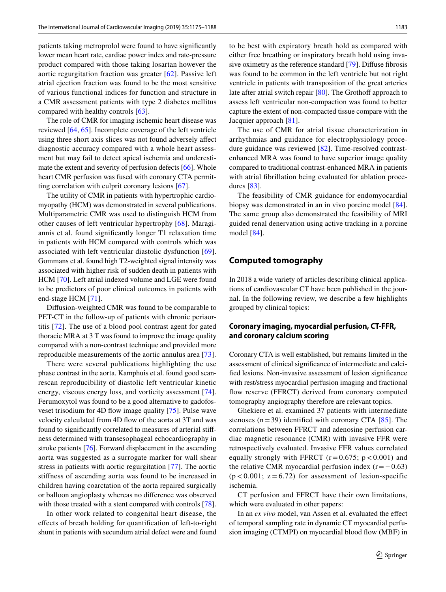patients taking metroprolol were found to have significantly lower mean heart rate, cardiac power index and rate-pressure product compared with those taking losartan however the aortic regurgitation fraction was greater [[62\]](#page-12-13). Passive left atrial ejection fraction was found to be the most sensitive of various functional indices for function and structure in a CMR assessment patients with type 2 diabetes mellitus compared with healthy controls [\[63](#page-12-14)].

The role of CMR for imaging ischemic heart disease was reviewed [\[64](#page-12-15), [65](#page-12-16)]. Incomplete coverage of the left ventricle using three short axis slices was not found adversely affect diagnostic accuracy compared with a whole heart assessment but may fail to detect apical ischemia and underestimate the extent and severity of perfusion defects [[66\]](#page-12-17). Whole heart CMR perfusion was fused with coronary CTA permitting correlation with culprit coronary lesions [[67\]](#page-12-18).

The utility of CMR in patients with hypertrophic cardiomyopathy (HCM) was demonstrated in several publications. Multiparametric CMR was used to distinguish HCM from other causes of left ventricular hypertrophy [[68](#page-12-19)]. Maragiannis et al. found significantly longer T1 relaxation time in patients with HCM compared with controls which was associated with left ventricular diastolic dysfunction [[69](#page-12-20)]. Gommans et al. found high T2-weighted signal intensity was associated with higher risk of sudden death in patients with HCM [[70\]](#page-12-21). Left atrial indexed volume and LGE were found to be predictors of poor clinical outcomes in patients with end-stage HCM [[71\]](#page-12-22).

Diffusion-weighted CMR was found to be comparable to PET-CT in the follow-up of patients with chronic periaortitis [[72\]](#page-12-23). The use of a blood pool contrast agent for gated thoracic MRA at 3 T was found to improve the image quality compared with a non-contrast technique and provided more reproducible measurements of the aortic annulus area [[73\]](#page-12-24).

There were several publications highlighting the use phase contrast in the aorta. Kamphuis et al. found good scanrescan reproducibility of diastolic left ventricular kinetic energy, viscous energy loss, and vorticity assessment [\[74](#page-12-25)]. Ferumoxytol was found to be a good alternative to gadofosveset trisodium for 4D flow image quality [[75\]](#page-12-26). Pulse wave velocity calculated from 4D flow of the aorta at 3T and was found to significantly correlated to measures of arterial stiffness determined with transesophageal echocardiography in stroke patients [[76\]](#page-12-27). Forward displacement in the ascending aorta was suggested as a surrogate marker for wall shear stress in patients with aortic regurgitation [[77](#page-12-28)]. The aortic stiffness of ascending aorta was found to be increased in children having coarctation of the aorta repaired surgically or balloon angioplasty whereas no difference was observed with those treated with a stent compared with controls [\[78](#page-13-0)].

In other work related to congenital heart disease, the effects of breath holding for quantification of left-to-right shunt in patients with secundum atrial defect were and found to be best with expiratory breath hold as compared with either free breathing or inspiratory breath hold using invasive oximetry as the reference standard [\[79](#page-13-1)]. Diffuse fibrosis was found to be common in the left ventricle but not right ventricle in patients with transposition of the great arteries late after atrial switch repair [[80\]](#page-13-2). The Grothoff approach to assess left ventricular non-compaction was found to better capture the extent of non-compacted tissue compare with the Jacquier approach [[81\]](#page-13-3).

The use of CMR for atrial tissue characterization in arrhythmias and guidance for electrophysiology procedure guidance was reviewed [[82](#page-13-4)]. Time-resolved contrastenhanced MRA was found to have superior image quality compared to traditional contrast-enhanced MRA in patients with atrial fibrillation being evaluated for ablation procedures [[83\]](#page-13-5).

The feasibility of CMR guidance for endomyocardial biopsy was demonstrated in an in vivo porcine model [\[84](#page-13-6)]. The same group also demonstrated the feasibility of MRI guided renal denervation using active tracking in a porcine model [\[84](#page-13-6)].

# **Computed tomography**

In 2018 a wide variety of articles describing clinical applications of cardiovascular CT have been published in the journal. In the following review, we describe a few highlights grouped by clinical topics:

### **Coronary imaging, myocardial perfusion, CT‑FFR, and coronary calcium scoring**

Coronary CTA is well established, but remains limited in the assessment of clinical significance of intermediate and calcified lesions. Non-invasive assessment of lesion significance with rest/stress myocardial perfusion imaging and fractional flow reserve (FFRCT) derived from coronary computed tomography angiography therefore are relevant topics.

Ghekiere et al. examined 37 patients with intermediate stenoses ( $n=39$ ) identified with coronary CTA [[85](#page-13-7)]. The correlations between FFRCT and adenosine perfusion cardiac magnetic resonance (CMR) with invasive FFR were retrospectively evaluated. Invasive FFR values correlated equally strongly with FFRCT ( $r = 0.675$ ;  $p < 0.001$ ) and the relative CMR myocardial perfusion index  $(r=-0.63)$  $(p < 0.001; z = 6.72)$  for assessment of lesion-specific ischemia.

CT perfusion and FFRCT have their own limitations, which were evaluated in other papers:

In an *ex vivo* model, van Assen et al. evaluated the effect of temporal sampling rate in dynamic CT myocardial perfusion imaging (CTMPI) on myocardial blood flow (MBF) in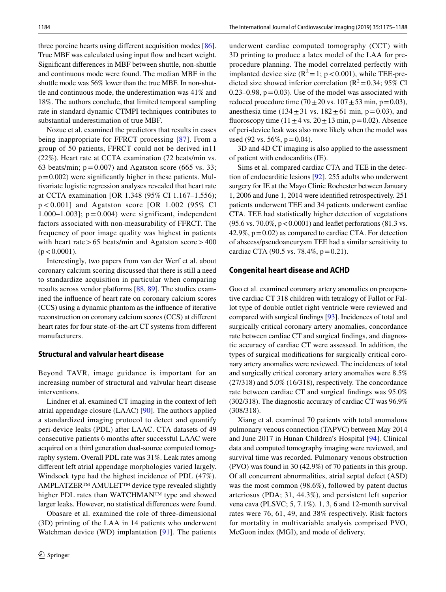three porcine hearts using different acquisition modes [\[86](#page-13-8)]. True MBF was calculated using input flow and heart weight. Significant differences in MBF between shuttle, non-shuttle and continuous mode were found. The median MBF in the shuttle mode was 56% lower than the true MBF. In non-shuttle and continuous mode, the underestimation was 41% and 18%. The authors conclude, that limited temporal sampling rate in standard dynamic CTMPI techniques contributes to substantial underestimation of true MBF.

Nozue et al. examined the predictors that results in cases being inappropriate for FFRCT processing [[87](#page-13-9)]. From a group of 50 patients, FFRCT could not be derived in11 (22%). Heart rate at CCTA examination (72 beats/min vs. 63 beats/min;  $p = 0.007$ ) and Agatston score (665 vs. 33;  $p=0.002$ ) were significantly higher in these patients. Multivariate logistic regression analyses revealed that heart rate at CCTA examination [OR 1.348 (95% CI 1.167–1.556); p < 0.001] and Agatston score [OR 1.002 (95% CI 1.000–1.003];  $p = 0.004$ ) were significant, independent factors associated with non-measurability of FFRCT. The frequency of poor image quality was highest in patients with heart rate > 65 beats/min and Agatston score > 400  $(p < 0.0001)$ .

Interestingly, two papers from van der Werf et al. about coronary calcium scoring discussed that there is still a need to standardize acquisition in particular when comparing results across vendor platforms [\[88](#page-13-10), [89](#page-13-11)]. The studies examined the influence of heart rate on coronary calcium scores (CCS) using a dynamic phantom as the influence of iterative reconstruction on coronary calcium scores (CCS) at different heart rates for four state-of-the-art CT systems from different manufacturers.

## **Structural and valvular heart disease**

Beyond TAVR, image guidance is important for an increasing number of structural and valvular heart disease interventions.

Lindner et al. examined CT imaging in the context of left atrial appendage closure (LAAC) [[90\]](#page-13-12). The authors applied a standardized imaging protocol to detect and quantify peri-device leaks (PDL) after LAAC. CTA datasets of 49 consecutive patients 6 months after successful LAAC were acquired on a third generation dual-source computed tomography system. Overall PDL rate was 31%. Leak rates among different left atrial appendage morphologies varied largely. Windsock type had the highest incidence of PDL (47%). AMPLATZER™ AMULET™ device type revealed slightly higher PDL rates than WATCHMAN™ type and showed larger leaks. However, no statistical differences were found.

Obasare et al. examined the role of three-dimensional (3D) printing of the LAA in 14 patients who underwent Watchman device (WD) implantation [[91](#page-13-13)]. The patients underwent cardiac computed tomography (CCT) with 3D printing to produce a latex model of the LAA for preprocedure planning. The model correlated perfectly with implanted device size  $(R^2 = 1; p < 0.001)$ , while TEE-predicted size showed inferior correlation ( $R^2$  = 0.34; 95% CI 0.23–0.98,  $p = 0.03$ ). Use of the model was associated with reduced procedure time  $(70 \pm 20 \text{ vs. } 107 \pm 53 \text{ min}, p=0.03)$ , anesthesia time  $(134 \pm 31 \text{ vs. } 182 \pm 61 \text{ min}, p = 0.03)$ , and fluoroscopy time  $(11 \pm 4 \text{ vs. } 20 \pm 13 \text{ min}, p=0.02)$ . Absence of peri-device leak was also more likely when the model was used (92 vs.  $56\%$ , p=0.04).

3D and 4D CT imaging is also applied to the assessment of patient with endocarditis (IE).

Sims et al. compared cardiac CTA and TEE in the detection of endocarditic lesions [\[92](#page-13-14)]. 255 adults who underwent surgery for IE at the Mayo Clinic Rochester between January 1, 2006 and June 1, 2014 were identified retrospectively. 251 patients underwent TEE and 34 patients underwent cardiac CTA. TEE had statistically higher detection of vegetations (95.6 vs. 70.0%,  $p < 0.0001$ ) and leaflet perforations (81.3 vs. 42.9%,  $p = 0.02$ ) as compared to cardiac CTA. For detection of abscess/pseudoaneurysm TEE had a similar sensitivity to cardiac CTA (90.5 vs. 78.4%,  $p = 0.21$ ).

#### **Congenital heart disease and ACHD**

Goo et al. examined coronary artery anomalies on preoperative cardiac CT 318 children with tetralogy of Fallot or Fallot type of double outlet right ventricle were reviewed and compared with surgical findings [[93\]](#page-13-15). Incidences of total and surgically critical coronary artery anomalies, concordance rate between cardiac CT and surgical findings, and diagnostic accuracy of cardiac CT were assessed. In addition, the types of surgical modifications for surgically critical coronary artery anomalies were reviewed. The incidences of total and surgically critical coronary artery anomalies were 8.5% (27/318) and 5.0% (16/318), respectively. The concordance rate between cardiac CT and surgical findings was 95.0% (302/318). The diagnostic accuracy of cardiac CT was 96.9% (308/318).

Xiang et al. examined 70 patients with total anomalous pulmonary venous connection (TAPVC) between May 2014 and June 2017 in Hunan Children's Hospital [\[94](#page-13-16)]. Clinical data and computed tomography imaging were reviewed, and survival time was recorded. Pulmonary venous obstruction (PVO) was found in 30 (42.9%) of 70 patients in this group. Of all concurrent abnormalities, atrial septal defect (ASD) was the most common (98.6%), followed by patent ductus arteriosus (PDA; 31, 44.3%), and persistent left superior vena cava (PLSVC; 5, 7.1%). 1, 3, 6 and 12-month survival rates were 76, 61, 49, and 38% respectively. Risk factors for mortality in multivariable analysis comprised PVO, McGoon index (MGI), and mode of delivery.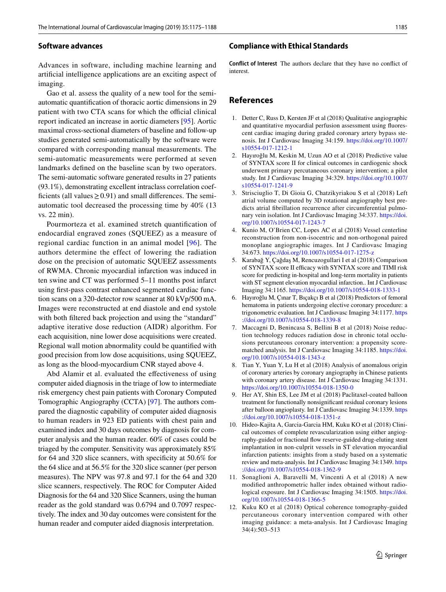#### **Software advances**

Advances in software, including machine learning and artificial intelligence applications are an exciting aspect of imaging.

Gao et al. assess the quality of a new tool for the semiautomatic quantification of thoracic aortic dimensions in 29 patient with two CTA scans for which the official clinical report indicated an increase in aortic diameters [\[95](#page-13-17)]. Aortic maximal cross-sectional diameters of baseline and follow-up studies generated semi-automatically by the software were compared with corresponding manual measurements. The semi-automatic measurements were performed at seven landmarks defined on the baseline scan by two operators. The semi-automatic software generated results in 27 patients (93.1%), demonstrating excellent intraclass correlation coefficients (all values  $\geq$  0.91) and small differences. The semiautomatic tool decreased the processing time by 40% (13 vs. 22 min).

Pourmorteza et al. examined stretch quantification of endocardial engraved zones (SQUEEZ) as a measure of regional cardiac function in an animal model [[96](#page-13-18)]. The authors determine the effect of lowering the radiation dose on the precision of automatic SQUEEZ assessments of RWMA. Chronic myocardial infarction was induced in ten swine and CT was performed 5–11 months post infarct using first-pass contrast enhanced segmented cardiac function scans on a 320-detector row scanner at 80 kVp/500 mA. Images were reconstructed at end diastole and end systole with both filtered back projection and using the "standard" adaptive iterative dose reduction (AIDR) algorithm. For each acquisition, nine lower dose acquisitions were created. Regional wall motion abnormality could be quantified with good precision from low dose acquisitions, using SQUEEZ, as long as the blood-myocardium CNR stayed above 4.

Abd Alamir et al. evaluated the effectiveness of using computer aided diagnosis in the triage of low to intermediate risk emergency chest pain patients with Coronary Computed Tomographic Angiography (CCTA) [[97\]](#page-13-19). The authors compared the diagnostic capability of computer aided diagnosis to human readers in 923 ED patients with chest pain and examined index and 30 days outcomes by diagnosis for computer analysis and the human reader. 60% of cases could be triaged by the computer. Sensitivity was approximately 85% for 64 and 320 slice scanners, with specificity at 50.6% for the 64 slice and at 56.5% for the 320 slice scanner (per person measures). The NPV was 97.8 and 97.1 for the 64 and 320 slice scanners, respectively. The ROC for Computer Aided Diagnosis for the 64 and 320 Slice Scanners, using the human reader as the gold standard was 0.6794 and 0.7097 respectively. The index and 30 day outcomes were consistent for the human reader and computer aided diagnosis interpretation.

#### **Compliance with Ethical Standards**

**Conflict of Interest** The authors declare that they have no conflict of interest.

#### **References**

- <span id="page-10-0"></span>1. Detter C, Russ D, Kersten JF et al (2018) Qualitative angiographic and quantitative myocardial perfusion assessment using fluorescent cardiac imaging during graded coronary artery bypass stenosis. Int J Cardiovasc Imaging 34:159. [https://doi.org/10.1007/](https://doi.org/10.1007/s10554-017-1212-1) [s10554-017-1212-1](https://doi.org/10.1007/s10554-017-1212-1)
- <span id="page-10-1"></span>2. Hayıroğlu M, Keskin M, Uzun AO et al (2018) Predictive value of SYNTAX score II for clinical outcomes in cardiogenic shock underwent primary percutaneous coronary intervention; a pilot study. Int J Cardiovasc Imaging 34:329. [https://doi.org/10.1007/](https://doi.org/10.1007/s10554-017-1241-9) [s10554-017-1241-9](https://doi.org/10.1007/s10554-017-1241-9)
- <span id="page-10-2"></span>3. Strisciuglio T, Di Gioia G, Chatzikyriakou S et al (2018) Left atrial volume computed by 3D rotational angiography best predicts atrial fibrillation recurrence after circumferential pulmonary vein isolation. Int J Cardiovasc Imaging 34:337. [https://doi.](https://doi.org/10.1007/s10554-017-1243-7) [org/10.1007/s10554-017-1243-7](https://doi.org/10.1007/s10554-017-1243-7)
- <span id="page-10-3"></span>4. Kunio M, O'Brien CC, Lopes AC et al (2018) Vessel centerline reconstruction from non-isocentric and non-orthogonal paired monoplane angiographic images. Int J Cardiovasc Imaging 34:673.<https://doi.org/10.1007/s10554-017-1275-z>
- <span id="page-10-4"></span>5. Karabağ Y, Çağdaş M, Rencuzogullari I et al (2018) Comparison of SYNTAX score II efficacy with SYNTAX score and TIMI risk score for predicting in-hospital and long-term mortality in patients with ST segment elevation myocardial infarction.. Int J Cardiovasc Imaging 34:1165.<https://doi.org/10.1007/s10554-018-1333-1>
- <span id="page-10-5"></span>6. Hayıroğlu M, Çınar T, Bıçakçı B et al (2018) Predictors of femoral hematoma in patients undergoing elective coronary procedure: a trigonometric evaluation. Int J Cardiovasc Imaging 34:1177. [https](https://doi.org/10.1007/s10554-018-1339-8) [://doi.org/10.1007/s10554-018-1339-8](https://doi.org/10.1007/s10554-018-1339-8)
- <span id="page-10-6"></span>7. Maccagni D, Benincasa S, Bellini B et al (2018) Noise reduction technology reduces radiation dose in chronic total occlusions percutaneous coronary intervention: a propensity scorematched analysis. Int J Cardiovasc Imaging 34:1185. [https://doi.](https://doi.org/10.1007/s10554-018-1343-z) [org/10.1007/s10554-018-1343-z](https://doi.org/10.1007/s10554-018-1343-z)
- <span id="page-10-7"></span>8. Tian Y, Yuan Y, Lu H et al (2018) Analysis of anomalous origin of coronary arteries by coronary angiography in Chinese patients with coronary artery disease. Int J Cardiovasc Imaging 34:1331. <https://doi.org/10.1007/s10554-018-1350-0>
- <span id="page-10-8"></span>9. Her AY, Shin ES, Lee JM et al (2018) Paclitaxel-coated balloon treatment for functionally nonsignificant residual coronary lesions after balloon angioplasty. Int J Cardiovasc Imaging 34:1339. [https](https://doi.org/10.1007/s10554-018-1351-z) [://doi.org/10.1007/s10554-018-1351-z](https://doi.org/10.1007/s10554-018-1351-z)
- <span id="page-10-9"></span>10. Hideo-Kajita A, Garcia-Garcia HM, Kuku KO et al (2018) Clinical outcomes of complete revascularization using either angiography-guided or fractional flow reserve-guided drug-eluting stent implantation in non-culprit vessels in ST elevation myocardial infarction patients: insights from a study based on a systematic review and meta-analysis. Int J Cardiovasc Imaging 34:1349. [https](https://doi.org/10.1007/s10554-018-1362-9) [://doi.org/10.1007/s10554-018-1362-9](https://doi.org/10.1007/s10554-018-1362-9)
- <span id="page-10-10"></span>11. Sonaglioni A, Baravelli M, Vincenti A et al (2018) A new modified anthropometric haller index obtained without radiological exposure. Int J Cardiovasc Imaging 34:1505. [https://doi.](https://doi.org/10.1007/s10554-018-1366-5) [org/10.1007/s10554-018-1366-5](https://doi.org/10.1007/s10554-018-1366-5)
- <span id="page-10-11"></span>12. Kuku KO et al (2018) Optical coherence tomography-guided percutaneous coronary intervention compared with other imaging guidance: a meta-analysis. Int J Cardiovasc Imaging 34(4):503–513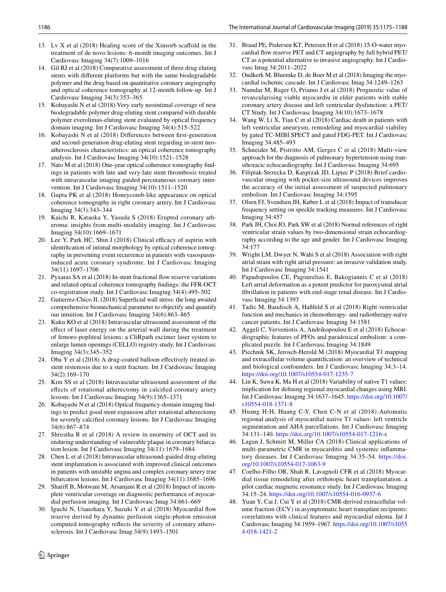- <span id="page-11-0"></span>13. Lv X et al (2018) Healing score of the Xinsorb scaffold in the treatment of de novo lesions: 6-month imaging outcomes. Int J Cardiovasc Imaging 34(7):1009–1016
- <span id="page-11-1"></span>14. Gil RJ et al (2018) Comparative assessment of three drug eluting stents with different platforms but with the same biodegradable polymer and the drug based on quantitative coronary angiography and optical coherence tomography at 12-month follow-up. Int J Cardiovasc Imaging 34(3):353–365
- <span id="page-11-2"></span>15. Kobayashi N et al (2018) Very early neointimal coverage of new biodegradable polymer drug-eluting stent compared with durable polymer everolimus-eluting stent evaluated by optical frequency domain imaging. Int J Cardiovasc Imaging 34(4):515–522
- <span id="page-11-3"></span>16. Kobayashi N et al (2018) Differences between first-generation and second-generation drug-eluting stent regarding in-stent neoatherosclerosis characteristics: an optical coherence tomography analysis. Int J Cardiovasc Imaging 34(10):1521–1528
- <span id="page-11-4"></span>17. Nato M et al (2018) One-year optical coherence tomography findings in patients with late and very-late stent thrombosis treated with intravascular imaging guided percutaneous coronary intervention. Int J Cardiovasc Imaging 34(10):1511–1520
- <span id="page-11-5"></span>18. Gupta PK et al (2018) Honeycomb-like appearance on optical coherence tomography in right coronary artery. Int J Cardiovasc Imaging 34(3):343–344
- <span id="page-11-6"></span>19. Kaichi R, Kataoka Y, Yasuda S (2018) Erupted coronary atheroma: insights from multi-modality imaging. Int J Cardiovasc Imaging 34(10):1669–1671
- <span id="page-11-7"></span>20. Lee Y, Park HC, Shin J (2018) Clinical efficacy of aspirin with identification of intimal morphology by optical coherence tomography in preventing event recurrence in patients with vasospasminduced acute coronary syndrome. Int J Cardiovasc Imaging 34(11):1697–1706
- <span id="page-11-8"></span>21. Pyxaras SA et al (2018) In-stent fractional flow reserve variations and related optical coherence tomography findings: the FFR-OCT co-registration study. Int J Cardiovasc Imaging 34(4):495–502
- <span id="page-11-9"></span>22. Gutierrez-Chico JL (2018) Superficial wall stress: the long awaited comprehensive biomechanical parameter to objectify and quantify our intuition. Int J Cardiovasc Imaging 34(6):863–865
- <span id="page-11-10"></span>23. Kuku KO et al (2018) Intravascular ultrasound assessment of the effect of laser energy on the arterial wall during the treatment of femoro-popliteal lesions: a CliRpath excimer laser system to enlarge lumen openings (CELLO) registry study. Int J Cardiovasc Imaging 34(3):345–352
- <span id="page-11-11"></span>24. Oba Y et al (2018) A drug-coated balloon effectively treated instent restenosis due to a stent fracture. Int J Cardiovasc Imaging 34(2):169–170
- <span id="page-11-12"></span>25. Kim SS et al (2018) Intravascular ultrasound assessment of the effects of rotational atherectomy in calcified coronary artery lesions. Int J Cardiovasc Imaging 34(9):1365–1371
- <span id="page-11-13"></span>26. Kobayashi N et al (2018) Optical frequency-domain imaging findings to predict good stent expansion after rotational atherectomy for severely calcified coronary lesions. Int J Cardiovasc Imaging 34(6):867–874
- <span id="page-11-14"></span>27. Shrestha R et al (2018) A review in enormity of OCT and its enduring understanding of vulnerable plaque in coronary bifurcation lesion. Int J Cardiovasc Imaging 34(11):1679–1684
- <span id="page-11-15"></span>28. Chen L et al (2018) Intravascular ultrasound-guided drug-eluting stent implantation is associated with improved clinical outcomes in patients with unstable angina and complex coronary artery true bifurcation lesions. Int J Cardiovasc Imaging 34(11):1685–1696
- <span id="page-11-16"></span>29. Shariff B, Motwani M, Arsanjani R et al (2018) Impact of incomplete ventricular coverage on diagnostic performance of myocardial perfusion imaging. Int J Cardiovasc Imag 34:661–669
- <span id="page-11-17"></span>30. Iguchi N, Utanohara Y, Suzuki Y et al (2018) Myocardial flow reserve derived by dynamic perfusion single-photon emission computed tomography reflects the severity of coronary atherosclerosis. Int J Cardiovasc Imag 34(9):1493–1501
- <span id="page-11-18"></span>31. Braad PE, Pedersen KT, Petersen H et al (2018) 15-O-water myocardial flow reserve PET and CT angiography by full hybrid PET/ CT as a potential alternative to invasive angiography. Int J Cardiovasc Imag 34:2011–2022
- <span id="page-11-19"></span>32. Oudkerk M, Bluemke D, de Boer M et al (2018) Imaging the myocardial ischemic cascade. Int J Cardiovasc Imag 34:1249–1263
- <span id="page-11-20"></span>33. Namdar M, Rager O, Priamo J et al (2018) Prognostic value of revascularising viable myocardiu in elder patients with stable coronary artery disease and left ventricular dysfunction: a PET/ CT Study. Int J Cardiovasc Imaging 34(10):1673–1678
- <span id="page-11-21"></span>34. Wang W, Li X, Tian C et al (2018) Cardiac death in patients with left ventricular aneurysm, remodeling and myocardial viability by gated TC-MIBI SPECT and gated FDG-PET. Int J Cardiovasc Imaging 34:485–493
- <span id="page-11-22"></span>35. Schneider M, Pistritto AM, Gerges C et al (2018) Multi-view approach for the diagnosis of pulmonary hypertension using transthoracic echocardiography. Int J Cardiovasc Imaging 34:695
- <span id="page-11-23"></span>36. Filipiak-Strzecka D, Kasprzak JD, Lipiec P (2018) Brief cardiovascular imaging with pocket-size ultrasound devices improves the accuracy of the initial assessment of suspected pulmonary embolism. Int J Cardiovasc Imaging 34:1595
- <span id="page-11-24"></span>37. Olsen FJ, Svendsen JH, Køber L et al (2018) Impact of transducer frequency setting on speckle tracking measures. Int J Cardiovasc Imaging 34:457
- <span id="page-11-25"></span>38. Park JH, Choi JO, Park SW et al (2018) Normal references of right ventricular strain values by two-dimensional strain echocardiography according to the age and gender. Int J Cardiovasc Imaging 34:177
- <span id="page-11-26"></span>39. Wright LM, Dwyer N, Wahi S et al (2018) Association with right atrial strain with right atrial pressure: an invasive validation study. Int J Cardiovasc Imaging 34:1541
- <span id="page-11-27"></span>40. Papadopoulos CE, Pagourelias E, Bakogiannis C et al (2018) Left atrial deformation as a potent predictor for paroxysmal atrial fibrillation in patients with end-stage renal disease. Int J Cardiovasc Imaging 34:1393
- <span id="page-11-28"></span>41. Tadic M, Baudisch A, Haßfeld S et al (2018) Right ventricular function and mechanics in chemotherapy- and radiotherapy-naïve cancer patients. Int J Cardiovasc Imaging 34:1581
- <span id="page-11-29"></span>42. Aggeli C, Verveniotis A, Andrikopoulou E et al (2018) Echocardiographic features of PFOs and paradoxical embolism: a complicated puzzle. Int J Cardiovasc Imaging 34:1849
- <span id="page-11-30"></span>43. Piechnik SK, Jerosch-Herold M (2018) Myocardial T1 mapping and extracellular volume quantification: an overview of technical and biological confounders. Int J Cardiovasc Imaging 34:3–14. <https://doi.org/10.1007/s10554-017-1235-7>
- <span id="page-11-31"></span>44. Lin K, Suwa K, Ma H et al (2018) Variability of native T1 values: implication for defining regional myocardial changes using MRI. Int J Cardiovasc Imaging 34:1637–1645. [https://doi.org/10.1007/](https://doi.org/10.1007/s10554-018-1371-8) [s10554-018-1371-8](https://doi.org/10.1007/s10554-018-1371-8)
- <span id="page-11-32"></span>45. Huang H-H, Huang C-Y, Chen C-N et al (2018) Automatic regional analysis of myocardial native T1 values: left ventricle segmentation and AHA parcellations. Int J Cardiovasc Imaging 34:131–140.<https://doi.org/10.1007/s10554-017-1216-x>
- <span id="page-11-33"></span>46. Lagan J, Schmitt M, Miller CA (2018) Clinical applications of multi-parametric CMR in myocarditis and systemic inflammatory diseases. Int J Cardiovasc Imaging 34:35–54. [https://doi.](https://doi.org/10.1007/s10554-017-1063-9) [org/10.1007/s10554-017-1063-9](https://doi.org/10.1007/s10554-017-1063-9)
- <span id="page-11-34"></span>47. Coelho-Filho OR, Shah R, Lavagnoli CFR et al (2018) Myocardial tissue remodeling after orthotopic heart transplantation: a pilot cardiac magnetic resonance study. Int J Cardiovasc Imaging 34:15–24. <https://doi.org/10.1007/s10554-016-0937-6>
- <span id="page-11-35"></span>48. Yuan Y, Cai J, Cui Y et al (2018) CMR-derived extracellular volume fraction (ECV) in asymptomatic heart transplant recipients: correlations with clinical features and myocardial edema. Int J Cardiovasc Imaging 34:1959–1967. [https://doi.org/10.1007/s1055](https://doi.org/10.1007/s10554-018-1421-2) [4-018-1421-2](https://doi.org/10.1007/s10554-018-1421-2)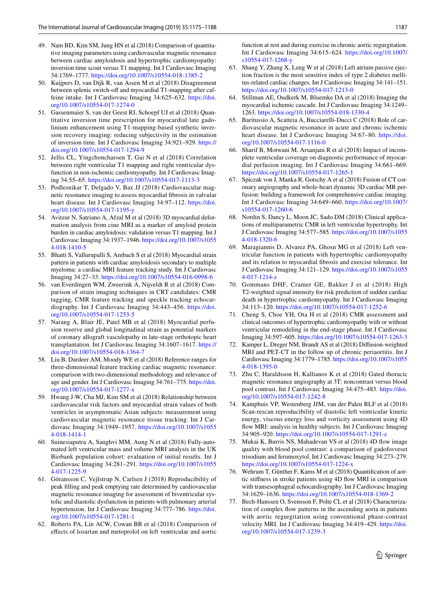- <span id="page-12-0"></span>49. Nam BD, Kim SM, Jung HN et al (2018) Comparison of quantitative imaging parameters using cardiovascular magnetic resonance between cardiac amyloidosis and hypertrophic cardiomyopathy: inversion time scout versus T1 mapping. Int J Cardiovasc Imaging 34:1769–1777. <https://doi.org/10.1007/s10554-018-1385-2>
- <span id="page-12-1"></span>50. Kuijpers D, van Dijk R, van Assen M et al (2018) Disagreement between splenic switch-off and myocardial T1-mapping after caffeine intake. Int J Cardiovasc Imaging 34:625–632. [https://doi.](https://doi.org/10.1007/s10554-017-1274-0) [org/10.1007/s10554-017-1274-0](https://doi.org/10.1007/s10554-017-1274-0)
- <span id="page-12-2"></span>51. Gassenmaier S, van der Geest RJ, Schoepf UJ et al (2018) Quantitative inversion time prescription for myocardial late gadolinium enhancement using T1-mapping-based synthetic inversion recovery imaging: reducing subjectivity in the estimation of inversion time. Int J Cardiovasc Imaging 34:921–929. [https://](https://doi.org/10.1007/s10554-017-1294-9) [doi.org/10.1007/s10554-017-1294-9](https://doi.org/10.1007/s10554-017-1294-9)
- <span id="page-12-3"></span>52. Jellis CL, Yingchoncharoen T, Gai N et al (2018) Correlation between right ventricular T1 mapping and right ventricular dysfunction in non-ischemic cardiomyopathy. Int J Cardiovasc Imaging 34:55–65. <https://doi.org/10.1007/s10554-017-1113-3>
- <span id="page-12-4"></span>53. Podlesnikar T, Delgado V, Bax JJ (2018) Cardiovascular magnetic resonance imaging to assess myocardial fibrosis in valvular heart disease. Int J Cardiovasc Imaging 34:97-112. [https://doi.](https://doi.org/10.1007/s10554-017-1195-y) [org/10.1007/s10554-017-1195-y](https://doi.org/10.1007/s10554-017-1195-y)
- <span id="page-12-5"></span>54. Avitzur N, Satriano A, Afzal M et al (2018) 3D myocardial deformation analysis from cine MRI as a marker of amyloid protein burden in cardiac amyloidosis: validation versus T1 mapping. Int J Cardiovasc Imaging 34:1937–1946. [https://doi.org/10.1007/s1055](https://doi.org/10.1007/s10554-018-1410-5) [4-018-1410-5](https://doi.org/10.1007/s10554-018-1410-5)
- <span id="page-12-6"></span>55. Bhatti S, Vallurupalli S, Ambach S et al (2018) Myocardial strain pattern in patients with cardiac amyloidosis secondary to multiple myeloma: a cardiac MRI feature tracking study. Int J Cardiovasc Imaging 34:27–33.<https://doi.org/10.1007/s10554-016-0998-6>
- <span id="page-12-7"></span>56. van Everdingen WM, Zweerink A, Nijveldt R et al (2018) Comparison of strain imaging techniques in CRT candidates: CMR tagging, CMR feature tracking and speckle tracking echocardiography. Int J Cardiovasc Imaging 34:443–456. [https://doi.](https://doi.org/10.1007/s10554-017-1253-5) [org/10.1007/s10554-017-1253-5](https://doi.org/10.1007/s10554-017-1253-5)
- <span id="page-12-8"></span>57. Narang A, Blair JE, Patel MB et al (2018) Myocardial perfusion reserve and global longitudinal strain as potential markers of coronary allograft vasculopathy in late-stage orthotopic heart transplantation. Int J Cardiovasc Imaging 34:1607–1617. [https://](https://doi.org/10.1007/s10554-018-1364-7) [doi.org/10.1007/s10554-018-1364-7](https://doi.org/10.1007/s10554-018-1364-7)
- <span id="page-12-9"></span>58. Liu B, Dardeer AM, Moody WE et al (2018) Reference ranges for three-dimensional feature tracking cardiac magnetic resonance: comparison with two-dimensional methodology and relevance of age and gender. Int J Cardiovasc Imaging 34:761–775. [https://doi.](https://doi.org/10.1007/s10554-017-1277-x) [org/10.1007/s10554-017-1277-x](https://doi.org/10.1007/s10554-017-1277-x)
- <span id="page-12-10"></span>59. Hwang J-W, Cha MJ, Kim SM et al (2018) Relationship between cardiovascular risk factors and myocardial strain values of both ventricles in asymptomatic Asian subjects: measurement using cardiovascular magnetic resonance tissue tracking. Int J Cardiovasc Imaging 34:1949–1957. [https://doi.org/10.1007/s1055](https://doi.org/10.1007/s10554-018-1414-1) [4-018-1414-1](https://doi.org/10.1007/s10554-018-1414-1)
- <span id="page-12-11"></span>60. Suinesiaputra A, Sanghvi MM, Aung N et al (2018) Fully-automated left ventricular mass and volume MRI analysis in the UK Biobank population cohort: evaluation of initial results. Int J Cardiovasc Imaging 34:281–291. [https://doi.org/10.1007/s1055](https://doi.org/10.1007/s10554-017-1225-9) [4-017-1225-9](https://doi.org/10.1007/s10554-017-1225-9)
- <span id="page-12-12"></span>61. Göransson C, Vejlstrup N, Carlsen J (2018) Reproducibility of peak filling and peak emptying rate determined by cardiovascular magnetic resonance imaging for assessment of biventricular systolic and diastolic dysfunction in patients with pulmonary arterial hypertension. Int J Cardiovasc Imaging 34:777-786. [https://doi.](https://doi.org/10.1007/s10554-017-1281-1) [org/10.1007/s10554-017-1281-1](https://doi.org/10.1007/s10554-017-1281-1)
- <span id="page-12-13"></span>62. Roberts PA, Lin ACW, Cowan BR et al (2018) Comparison of effects of losartan and metoprolol on left ventricular and aortic

function at rest and during exercise in chronic aortic regurgitation. Int J Cardiovasc Imaging 34:615–624. [https://doi.org/10.1007/](https://doi.org/10.1007/s10554-017-1268-y) [s10554-017-1268-y](https://doi.org/10.1007/s10554-017-1268-y)

- <span id="page-12-14"></span>63. Shang Y, Zhang X, Leng W et al (2018) Left atrium passive ejection fraction is the most sensitive index of type 2 diabetes mellitus-related cardiac changes. Int J Cardiovasc Imaging 34:141–151. <https://doi.org/10.1007/s10554-017-1213-0>
- <span id="page-12-15"></span>64. Stillman AE, Oudkerk M, Bluemke DA et al (2018) Imaging the myocardial ischemic cascade. Int J Cardiovasc Imaging 34:1249– 1263. <https://doi.org/10.1007/s10554-018-1330-4>
- <span id="page-12-16"></span>65. Baritussio A, Scatteia A, Bucciarelli-Ducci C (2018) Role of cardiovascular magnetic resonance in acute and chronic ischemic heart disease. Int J Cardiovasc Imaging 34:67-80. [https://doi.](https://doi.org/10.1007/s10554-017-1116-0) [org/10.1007/s10554-017-1116-0](https://doi.org/10.1007/s10554-017-1116-0)
- <span id="page-12-17"></span>66. Sharif B, Motwani M, Arsanjani R et al (2018) Impact of incomplete ventricular coverage on diagnostic performance of myocardial perfusion imaging. Int J Cardiovasc Imaging 34:661–669. <https://doi.org/10.1007/s10554-017-1265-1>
- <span id="page-12-18"></span>67. Spiczak von J, Manka R, Gotschy A et al (2018) Fusion of CT coronary angiography and whole-heart dynamic 3D cardiac MR perfusion: building a framework for comprehensive cardiac imaging. Int J Cardiovasc Imaging 34:649–660. [https://doi.org/10.1007/](https://doi.org/10.1007/s10554-017-1260-6) [s10554-017-1260-6](https://doi.org/10.1007/s10554-017-1260-6)
- <span id="page-12-19"></span>68. Nordin S, Dancy L, Moon JC, Sado DM (2018) Clinical applications of multiparametric CMR in left ventricular hypertrophy. Int J Cardiovasc Imaging 34:577–585. [https://doi.org/10.1007/s1055](https://doi.org/10.1007/s10554-018-1320-6) [4-018-1320-6](https://doi.org/10.1007/s10554-018-1320-6)
- <span id="page-12-20"></span>69. Maragiannis D, Alvarez PA, Ghosn MG et al (2018) Left ventricular function in patients with hypertrophic cardiomyopathy and its relation to myocardial fibrosis and exercise tolerance. Int J Cardiovasc Imaging 34:121–129. [https://doi.org/10.1007/s1055](https://doi.org/10.1007/s10554-017-1214-z) [4-017-1214-z](https://doi.org/10.1007/s10554-017-1214-z)
- <span id="page-12-21"></span>70. Gommans DHF, Cramer GE, Bakker J et al (2018) High T2-weighted signal intensity for risk prediction of sudden cardiac death in hypertrophic cardiomyopathy. Int J Cardiovasc Imaging 34:113–120.<https://doi.org/10.1007/s10554-017-1252-6>
- <span id="page-12-22"></span>71. Cheng S, Choe YH, Ota H et al (2018) CMR assessment and clinical outcomes of hypertrophic cardiomyopathy with or without ventricular remodeling in the end-stage phase. Int J Cardiovasc Imaging 34:597–605. <https://doi.org/10.1007/s10554-017-1263-3>
- <span id="page-12-23"></span>72. Kamper L, Dreger NM, Brandt AS et al (2018) Diffusion-weighted MRI and PET-CT in the follow up of chronic periaortitis. Int J Cardiovasc Imaging 34:1779–1785. [https://doi.org/10.1007/s1055](https://doi.org/10.1007/s10554-018-1395-0) [4-018-1395-0](https://doi.org/10.1007/s10554-018-1395-0)
- <span id="page-12-24"></span>73. Zhu C, Haraldsson H, Kallianos K et al (2018) Gated thoracic magnetic resonance angiography at 3T: noncontrast versus blood pool contrast. Int J Cardiovasc Imaging 34:475–483. [https://doi.](https://doi.org/10.1007/s10554-017-1242-8) [org/10.1007/s10554-017-1242-8](https://doi.org/10.1007/s10554-017-1242-8)
- <span id="page-12-25"></span>74. Kamphuis VP, Westenberg JJM, van der Palen RLF et al (2018) Scan-rescan reproducibility of diastolic left ventricular kinetic energy, viscous energy loss and vorticity assessment using 4D flow MRI: analysis in healthy subjects. Int J Cardiovasc Imaging 34:905–920.<https://doi.org/10.1007/s10554-017-1291-z>
- <span id="page-12-26"></span>75. Mukai K, Burris NS, Mahadevan VS et al (2018) 4D flow image quality with blood pool contrast: a comparison of gadofosveset trisodium and ferumoxytol. Int J Cardiovasc Imaging 34:273–279. <https://doi.org/10.1007/s10554-017-1224-x>
- <span id="page-12-27"></span>76. Wehrum T, Günther F, Kams M et al (2018) Quantification of aortic stiffness in stroke patients using 4D flow MRI in comparison with transesophageal echocardiography. Int J Cardiovasc Imaging 34:1629–1636.<https://doi.org/10.1007/s10554-018-1369-2>
- <span id="page-12-28"></span>77. Bech-Hanssen O, Svensson F, Polte CL et al (2018) Characterization of complex flow patterns in the ascending aorta in patients with aortic regurgitation using conventional phase-contrast velocity MRI. Int J Cardiovasc Imaging 34:419–429. [https://doi.](https://doi.org/10.1007/s10554-017-1239-3) [org/10.1007/s10554-017-1239-3](https://doi.org/10.1007/s10554-017-1239-3)